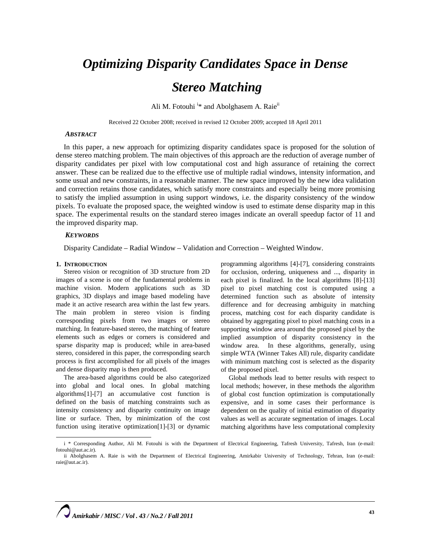# *Optimizing Disparity Candidates Space in Dense Stereo Matching*

Ali M. Fotouhi<sup>i\*</sup> and Abolghasem A. Raie<sup>ii</sup>

Received 22 October 2008; received in revised 12 October 2009; accepted 18 April 2011

## *ABSTRACT*

In this paper, a new approach for optimizing disparity candidates space is proposed for the solution of dense stereo matching problem. The main objectives of this approach are the reduction of average number of disparity candidates per pixel with low computational cost and high assurance of retaining the correct answer. These can be realized due to the effective use of multiple radial windows, intensity information, and some usual and new constraints, in a reasonable manner. The new space improved by the new idea validation and correction retains those candidates, which satisfy more constraints and especially being more promising to satisfy the implied assumption in using support windows, i.e. the disparity consistency of the window pixels. To evaluate the proposed space, the weighted window is used to estimate dense disparity map in this space. The experimental results on the standard stereo images indicate an overall speedup factor of 11 and the improved disparity map.

## *KEYWORDS*

Disparity Candidate – Radial Window – Validation and Correction – Weighted Window.

## **1. INTRODUCTION**

Stereo vision or recognition of 3D structure from 2D images of a scene is one of the fundamental problems in machine vision. Modern applications such as 3D graphics, 3D displays and image based modeling have made it an active research area within the last few years. The main problem in stereo vision is finding corresponding pixels from two images or stereo matching. In feature-based stereo, the matching of feature elements such as edges or corners is considered and sparse disparity map is produced; while in area-based stereo, considered in this paper, the corresponding search process is first accomplished for all pixels of the images and dense disparity map is then produced.

The area-based algorithms could be also categorized into global and local ones. In global matching algorithms[1]-[7] an accumulative cost function is defined on the basis of matching constraints such as intensity consistency and disparity continuity on image line or surface. Then, by minimization of the cost function using iterative optimization[1]-[3] or dynamic

programming algorithms [4]-[7], considering constraints for occlusion, ordering, uniqueness and ..., disparity in each pixel is finalized. In the local algorithms [8]-[13] pixel to pixel matching cost is computed using a determined function such as absolute of intensity difference and for decreasing ambiguity in matching process, matching cost for each disparity candidate is obtained by aggregating pixel to pixel matching costs in a supporting window area around the proposed pixel by the implied assumption of disparity consistency in the window area. In these algorithms, generally, using simple WTA (Winner Takes All) rule, disparity candidate with minimum matching cost is selected as the disparity of the proposed pixel.

Global methods lead to better results with respect to local methods; however, in these methods the algorithm of global cost function optimization is computationally expensive, and in some cases their performance is dependent on the quality of initial estimation of disparity values as well as accurate segmentation of images. Local matching algorithms have less computational complexity

i \* Corresponding Author, Ali M. Fotouhi is with the Department of Electrical Engineering, Tafresh University, Tafresh, Iran (e-mail: fotouhi@aut.ac.ir).

ii Abolghasem A. Raie is with the Department of Electrical Engineering, Amirkabir University of Technology, Tehran, Iran (e-mail: raie@aut.ac.ir).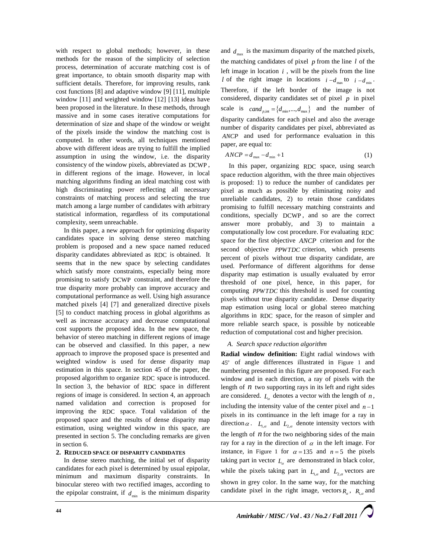with respect to global methods; however, in these methods for the reason of the simplicity of selection process, determination of accurate matching cost is of great importance, to obtain smooth disparity map with sufficient details. Therefore, for improving results, rank cost functions [8] and adaptive window [9] [11], multiple window [11] and weighted window [12] [13] ideas have been proposed in the literature. In these methods, through massive and in some cases iterative computations for determination of size and shape of the window or weight of the pixels inside the window the matching cost is computed. In other words, all techniques mentioned above with different ideas are trying to fulfill the implied assumption in using the window, i.e. the disparity consistency of the window pixels, abbreviated as DCWP , in different regions of the image. However, in local matching algorithms finding an ideal matching cost with high discriminating power reflecting all necessary constraints of matching process and selecting the true match among a large number of candidates with arbitrary statistical information, regardless of its computational complexity, seem unreachable.

In this paper, a new approach for optimizing disparity candidates space in solving dense stereo matching problem is proposed and a new space named reduced disparity candidates abbreviated as RDC is obtained. It seems that in the new space by selecting candidates which satisfy more constraints, especially being more promising to satisfy DCWP constraint, and therefore the true disparity more probably can improve accuracy and computational performance as well. Using high assurance matched pixels [4] [7] and generalized directive pixels [5] to conduct matching process in global algorithms as well as increase accuracy and decrease computational cost supports the proposed idea. In the new space, the behavior of stereo matching in different regions of image can be observed and classified. In this paper, a new approach to improve the proposed space is presented and weighted window is used for dense disparity map estimation in this space. In section 45 of the paper, the proposed algorithm to organize RDC space is introduced. In section 3, the behavior of RDC space in different regions of image is considered. In section 4, an approach named validation and correction is proposed for improving the RDC space. Total validation of the proposed space and the results of dense disparity map estimation, using weighted window in this space, are presented in section 5. The concluding remarks are given in section 6.

# **2. REDUCED SPACE OF DISPARITY CANDIDATES**

In dense stereo matching, the initial set of disparity candidates for each pixel is determined by usual epipolar, minimum and maximum disparity constraints. In binocular stereo with two rectified images, according to the epipolar constraint, if  $d_{\min}$  is the minimum disparity

and  $d_{\text{max}}$  is the maximum disparity of the matched pixels, the matching candidates of pixel *p* from the line *l* of the left image in location  $i$ , will be the pixels from the line *l* of the right image in locations  $i - d_{\text{max}}$  to  $i - d_{\text{min}}$ . Therefore, if the left border of the image is not considered, disparity candidates set of pixel *p* in pixel scale is  $cand_{p,\text{int}} = \{d_{\text{min}},..., d_{\text{max}}\}$  and the number of disparity candidates for each pixel and also the average number of disparity candidates per pixel, abbreviated as *ANCP* and used for performance evaluation in this paper, are equal to:

$$
ANCP = d_{\text{max}} - d_{\text{min}} + 1\tag{1}
$$

In this paper, organizing RDC space, using search space reduction algorithm, with the three main objectives is proposed: 1) to reduce the number of candidates per pixel as much as possible by eliminating noisy and unreliable candidates, 2) to retain those candidates promising to fulfill necessary matching constraints and conditions, specially DCWP , and so are the correct answer more probably, and 3) to maintain a computationally low cost procedure. For evaluating RDC space for the first objective *ANCP* criterion and for the second objective *PPWTDC* criterion, which presents percent of pixels without true disparity candidate, are used. Performance of different algorithms for dense disparity map estimation is usually evaluated by error threshold of one pixel, hence, in this paper, for computing *PPWTDC* this threshold is used for counting pixels without true disparity candidate. Dense disparity map estimation using local or global stereo matching algorithms in RDC space, for the reason of simpler and more reliable search space, is possible by noticeable reduction of computational cost and higher precision.

# *A. Search space reduction algorithm*

**Radial window definition:** Eight radial windows with 45*<sup>o</sup>* of angle differences illustrated in Figure 1 and numbering presented in this figure are proposed. For each window and in each direction, a ray of pixels with the length of  $n$  two supporting rays in its left and right sides are considered.  $L_a$  denotes a vector with the length of  $n$ , including the intensity value of the center pixel and  $n-1$ pixels in its continuance in the left image for a ray in direction  $\alpha$ .  $L_{1,\alpha}$  and  $L_{2,\alpha}$  denote intensity vectors with the length of *n* for the two neighboring sides of the main ray for a ray in the direction of  $\alpha$  in the left image. For instance, in Figure 1 for  $\alpha = 135$  and  $n = 5$  the pixels taking part in vector  $L_a$  are demonstrated in black color, while the pixels taking part in  $L_{1,\alpha}$  and  $L_{2,\alpha}$  vectors are shown in grey color. In the same way, for the matching candidate pixel in the right image, vectors  $R_{\alpha}$ ,  $R_{1,\alpha}$  and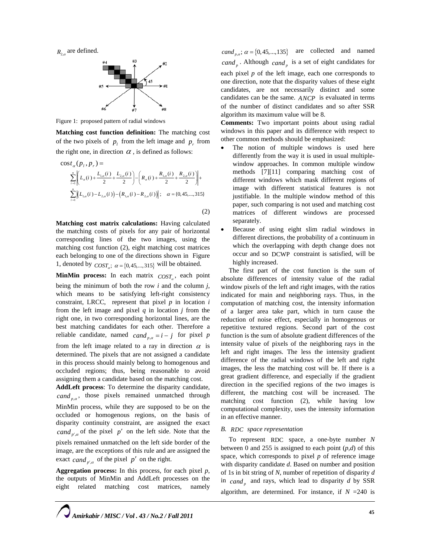$R_{2,\alpha}$  are defined.



Figure 1: proposed pattern of radial windows

**Matching cost function definition:** The matching cost of the two pixels of  $p_i$  from the left image and  $p_i$  from the right one, in direction  $\alpha$ , is defined as follows:

$$
\cos t_{\alpha}(p_{i}, p_{r}) = \sum_{i=1}^{n} \left[ L_{\alpha}(i) + \frac{L_{1,\alpha}(i)}{2} + \frac{L_{2,\alpha}(i)}{2} \right] - \left( R_{\alpha}(i) + \frac{R_{1,\alpha}(i)}{2} + \frac{R_{2,\alpha}(i)}{2} \right) + \sum_{i=1}^{n} \left[ (L_{1,\alpha}(i) - L_{2,\alpha}(i)) - (R_{1,\alpha}(i) - R_{2,\alpha}(i)) \right]; \quad \alpha = \{0, 45, \dots, 315\}
$$
\n(2)

**Matching cost matrix calculations:** Having calculated the matching costs of pixels for any pair of horizontal corresponding lines of the two images, using the matching cost function (2), eight matching cost matrices each belonging to one of the directions shown in Figure 1, denoted by  $COST_a$ ;  $\alpha = \{0, 45, ..., 315\}$  will be obtained.

**MinMin process:** In each matrix  $\cos\theta$  each point being the minimum of both the row *i* and the column *j*, which means to be satisfying left-right consistency constraint, LRCC, represent that pixel  $p$  in location  $i$ from the left image and pixel *q* in location *j* from the right one, in two corresponding horizontal lines, are the best matching candidates for each other. Therefore a reliable candidate, named  $cand_{p,q} = i - j$  for pixel *p* from the left image related to a ray in direction  $\alpha$  is determined. The pixels that are not assigned a candidate in this process should mainly belong to homogenous and occluded regions; thus, being reasonable to avoid assigning them a candidate based on the matching cost.

**AddLeft process**: To determine the disparity candidate, *cand* <sub>n a</sub>, those pixels remained unmatched through MinMin process, while they are supposed to be on the occluded or homogenous regions, on the basis of disparity continuity constraint, are assigned the exact *cand*  $\alpha$  of the pixel *p'* on the left side. Note that the pixels remained unmatched on the left side border of the image, are the exceptions of this rule and are assigned the exact *cand*  $_{p',a}$  of the pixel  $p'$  on the right.

**Aggregation process:** In this process, for each pixel *p*, the outputs of MinMin and AddLeft processes on the eight related matching cost matrices, namely

*cand*<sub>p,α</sub>;  $\alpha = \{0, 45, ..., 135\}$  are collected and named *cand*  $_p$ . Although *cand*  $_p$  is a set of eight candidates for each pixel *p* of the left image, each one corresponds to one direction, note that the disparity values of these eight candidates, are not necessarily distinct and some candidates can be the same. *ANCP* is evaluated in terms of the number of distinct candidates and so after SSR algorithm its maximum value will be 8.

**Comments:** Two important points about using radial windows in this paper and its difference with respect to other common methods should be emphasized:

- The notion of multiple windows is used here differently from the way it is used in usual multiplewindow approaches. In common multiple window methods [7][11] comparing matching cost of different windows which mask different regions of image with different statistical features is not justifiable. In the multiple window method of this paper, such comparing is not used and matching cost matrices of different windows are processed separately.
- Because of using eight slim radial windows in different directions, the probability of a continuum in which the overlapping with depth change does not occur and so DCWP constraint is satisfied, will be highly increased.

The first part of the cost function is the sum of absolute differences of intensity value of the radial window pixels of the left and right images, with the ratios indicated for main and neighboring rays. Thus, in the computation of matching cost, the intensity information of a larger area take part, which in turn cause the reduction of noise effect, especially in homogenous or repetitive textured regions. Second part of the cost function is the sum of absolute gradient differences of the intensity value of pixels of the neighboring rays in the left and right images. The less the intensity gradient difference of the radial windows of the left and right images, the less the matching cost will be. If there is a great gradient difference, and especially if the gradient direction in the specified regions of the two images is different, the matching cost will be increased. The matching cost function (2), while having low computational complexity, uses the intensity information in an effective manner.

# *B. RDC space representation*

To represent RDC space, a one-byte number *N* between 0 and 255 is assigned to each point (*p,d*) of this space, which corresponds to pixel  $p$  of reference image with disparity candidate *d*. Based on number and position of 1s in bit string of *N*, number of repetition of disparity *d* in  $c$ and<sub>n</sub> and rays, which lead to disparity *d* by SSR algorithm, are determined. For instance, if  $N = 240$  is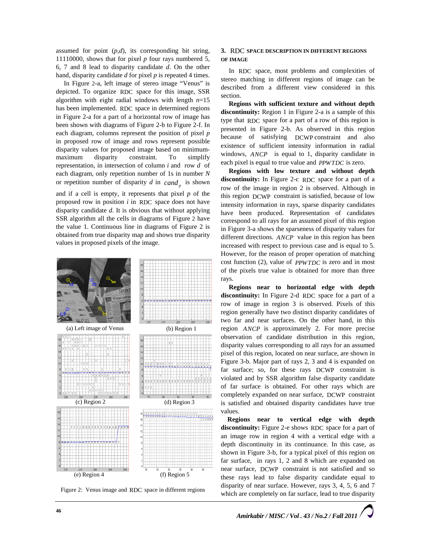assumed for point  $(p,d)$ , its corresponding bit string, 11110000, shows that for pixel *p* four rays numbered 5, 6, 7 and 8 lead to disparity candidate *d*. On the other hand, disparity candidate *d* for pixel *p* is repeated 4 times.

In Figure 2-a, left image of stereo image "Venus" is depicted. To organize RDC space for this image, SSR algorithm with eight radial windows with length *n*=15 has been implemented. RDC space in determined regions in Figure 2-a for a part of a horizontal row of image has been shown with diagrams of Figure 2-b to Figure 2-f. In each diagram, columns represent the position of pixel *p* in proposed row of image and rows represent possible disparity values for proposed image based on minimummaximum disparity constraint. To simplify representation, in intersection of column *i* and row *d* of each diagram, only repetition number of 1s in number *N* or repetition number of disparity  $d$  in  $c$  *cand* is shown

and if a cell is empty, it represents that pixel *p* of the proposed row in position *i* in RDC space does not have disparity candidate *d*. It is obvious that without applying SSR algorithm all the cells in diagrams of Figure 2 have the value 1. Continuous line in diagrams of Figure 2 is obtained from true disparity map and shows true disparity values in proposed pixels of the image.



Figure 2: Venus image and RDC space in different regions

## **3.** RDC **SPACE DESCRIPTION IN DIFFERENT REGIONS OF IMAGE**

In RDC space, most problems and complexities of stereo matching in different regions of image can be described from a different view considered in this section.

**Regions with sufficient texture and without depth discontinuity:** Region 1 in Figure 2-a is a sample of this type that RDC space for a part of a row of this region is presented in Figure 2-b. As observed in this region because of satisfying DCWP constraint and also existence of sufficient intensity information in radial windows, *ANCP* is equal to 1, disparity candidate in each pixel is equal to true value and *PPWTDC* is zero.

**Regions with low texture and without depth discontinuity:** In Figure 2-c RDC space for a part of a row of the image in region 2 is observed. Although in this region DCWP constraint is satisfied, because of low intensity information in rays, sparse disparity candidates have been produced. Representation of candidates correspond to all rays for an assumed pixel of this region in Figure 3-a shows the sparseness of disparity values for different directions. *ANCP* value in this region has been increased with respect to previous case and is equal to 5. However, for the reason of proper operation of matching cost function (2), value of *PPWTDC* is zero and in most of the pixels true value is obtained for more than three rays.

**Regions near to horizontal edge with depth discontinuity:** In Figure 2-d RDC space for a part of a row of image in region 3 is observed. Pixels of this region generally have two distinct disparity candidates of two far and near surfaces. On the other hand, in this region *ANCP* is approximately 2. For more precise observation of candidate distribution in this region, disparity values corresponding to all rays for an assumed pixel of this region, located on near surface, are shown in Figure 3-b. Major part of rays 2, 3 and 4 is expanded on far surface; so, for these rays DCWP constraint is violated and by SSR algorithm false disparity candidate of far surface is obtained. For other rays which are completely expanded on near surface, DCWP constraint is satisfied and obtained disparity candidates have true values.

**Regions near to vertical edge with depth discontinuity:** Figure 2-e shows RDC space for a part of an image row in region 4 with a vertical edge with a depth discontinuity in its continuance. In this case, as shown in Figure 3-b, for a typical pixel of this region on far surface, in rays 1, 2 and 8 which are expanded on near surface, DCWP constraint is not satisfied and so these rays lead to false disparity candidate equal to disparity of near surface. However, rays 3, 4, 5, 6 and 7 which are completely on far surface, lead to true disparity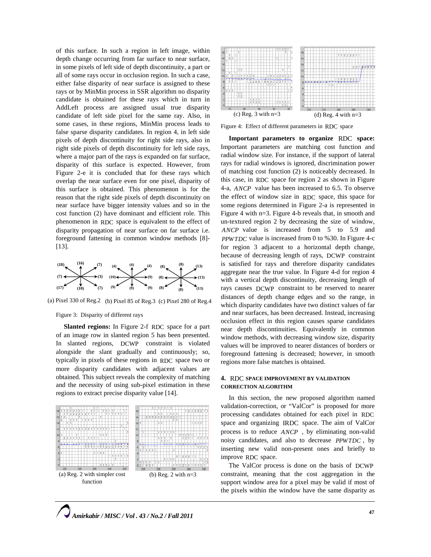of this surface. In such a region in left image, within depth change occurring from far surface to near surface, in some pixels of left side of depth discontinuity, a part or all of some rays occur in occlusion region. In such a case, either false disparity of near surface is assigned to these rays or by MinMin process in SSR algorithm no disparity candidate is obtained for these rays which in turn in AddLeft process are assigned usual true disparity candidate of left side pixel for the same ray. Also, in some cases, in these regions, MinMin process leads to false sparse disparity candidates. In region 4, in left side pixels of depth discontinuity for right side rays, also in right side pixels of depth discontinuity for left side rays, where a major part of the rays is expanded on far surface, disparity of this surface is expected. However, from Figure 2-e it is concluded that for these rays which overlap the near surface even for one pixel, disparity of this surface is obtained. This phenomenon is for the reason that the right side pixels of depth discontinuity on near surface have bigger intensity values and so in the cost function (2) have dominant and efficient role. This phenomenon in RDC space is equivalent to the effect of disparity propagation of near surface on far surface i.e. foreground fattening in common window methods [8]- [13].



(a) Pixel 330 of Reg.2 (b) Pixel 85 of Reg.3 (c) Pixel 280 of Reg.4

#### Figure 3: Disparity of different rays

**Slanted regions:** In Figure 2-f RDC space for a part of an image row in slanted region 5 has been presented. In slanted regions, DCWP constraint is violated alongside the slant gradually and continuously; so, typically in pixels of these regions in RDC space two or more disparity candidates with adjacent values are obtained. This subject reveals the complexity of matching and the necessity of using sub-pixel estimation in these regions to extract precise disparity value [14].





Figure 4: Effect of different parameters in RDC space

**Important parameters to organize** RDC **space:**  Important parameters are matching cost function and radial window size. For instance, if the support of lateral rays for radial windows is ignored, discrimination power of matching cost function (2) is noticeably decreased. In this case, in RDC space for region 2 as shown in Figure 4-a, *ANCP* value has been increased to 6.5. To observe the effect of window size in RDC space, this space for some regions determined in Figure 2-a is represented in Figure 4 with n=3. Figure 4-b reveals that, in smooth and un-textured region 2 by decreasing the size of window, *ANCP* value is increased from 5 to 5.9 and *PPWTDC* value is increased from 0 to %30. In Figure 4-c for region 3 adjacent to a horizontal depth change, because of decreasing length of rays, DCWP constraint is satisfied for rays and therefore disparity candidates aggregate near the true value. In Figure 4-d for region 4 with a vertical depth discontinuity, decreasing length of rays causes DCWP constraint to be reserved to nearer distances of depth change edges and so the range, in which disparity candidates have two distinct values of far and near surfaces, has been decreased. Instead, increasing occlusion effect in this region causes sparse candidates near depth discontinuities. Equivalently in common window methods, with decreasing window size, disparity values will be improved to nearer distances of borders or foreground fattening is decreased; however, in smooth regions more false matches is obtained.

# **4.** RDC **SPACE IMPROVEMENT BY VALIDATION CORRECTION ALGORITHM**

In this section, the new proposed algorithm named validation-correction, or "ValCor" is proposed for more processing candidates obtained for each pixel in RDC space and organizing IRDC space. The aim of ValCor process is to reduce *ANCP* , by eliminating non-valid noisy candidates, and also to decrease *PPWTDC* , by inserting new valid non-present ones and briefly to improve RDC space.

The ValCor process is done on the basis of DCWP constraint, meaning that the cost aggregation in the support window area for a pixel may be valid if most of the pixels within the window have the same disparity as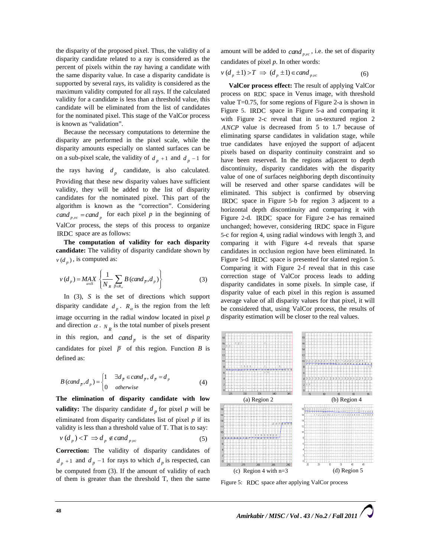the disparity of the proposed pixel. Thus, the validity of a disparity candidate related to a ray is considered as the percent of pixels within the ray having a candidate with the same disparity value. In case a disparity candidate is supported by several rays, its validity is considered as the maximum validity computed for all rays. If the calculated validity for a candidate is less than a threshold value, this candidate will be eliminated from the list of candidates for the nominated pixel. This stage of the ValCor process is known as "validation".

Because the necessary computations to determine the disparity are performed in the pixel scale, while the disparity amounts especially on slanted surfaces can be on a sub-pixel scale, the validity of  $d_p + 1$  and  $d_p - 1$  for the rays having  $d_p$  candidate, is also calculated. Providing that these new disparity values have sufficient validity, they will be added to the list of disparity candidates for the nominated pixel. This part of the algorithm is known as the "correction". Considering *cand*  $_{pyc}$  = *cand*  $_p$  for each pixel *p* in the beginning of ValCor process, the steps of this process to organize IRDC space are as follows:

**The computation of validity for each disparity candidate:** The validity of disparity candidate shown by  $v$   $(d_n)$ , is computed as:

$$
v(d_p) = \underset{a \in S}{MAX} \left\{ \frac{1}{N_R} \sum_{\bar{p} \in R_a} B \left( \text{cand}_{\bar{p}}, d_p \right) \right\} \tag{3}
$$

In (3), *S* is the set of directions which support disparity candidate  $d_p$ .  $R_q$  is the region from the left image occurring in the radial window located in pixel *p* and direction  $\alpha$ .  $N_p$  is the total number of pixels present in this region, and *cand*  $\bar{p}$  is the set of disparity candidates for pixel  $\bar{p}$  of this region. Function *B* is defined as:

$$
B\left(\text{cand}_{\overline{p}},d_{p}\right) = \begin{cases} 1 & \exists d_{\overline{p}} \in \text{cand}_{\overline{p}}, d_{\overline{p}} = d_{p} \\ 0 & \text{otherwise} \end{cases}
$$
 (4)

**The elimination of disparity candidate with low validity:** The disparity candidate  $d_n$  for pixel p will be eliminated from disparity candidates list of pixel *p* if its validity is less than a threshold value of T. That is to say:

$$
v(d_p) < T \implies d_p \notin cand_{p,yc}
$$
 (5)

**Correction:** The validity of disparity candidates of  $d_p + 1$  and  $d_p - 1$  for rays to which  $d_p$  is respected, can be computed from (3). If the amount of validity of each of them is greater than the threshold T, then the same

amount will be added to  $c$ *and*  $_{pyc}$ , *i.e.* the set of disparity candidates of pixel *p*. In other words:

$$
v(d_p \pm 1) > T \implies (d_p \pm 1) \in cand_{p,yc}
$$
 (6)

**ValCor process effect:** The result of applying ValCor process on RDC space in Venus image, with threshold value T=0.75, for some regions of Figure 2-a is shown in Figure 5. IRDC space in Figure 5-a and comparing it with Figure 2-c reveal that in un-textured region 2 *ANCP* value is decreased from 5 to 1.7 because of eliminating sparse candidates in validation stage, while true candidates have enjoyed the support of adjacent pixels based on disparity continuity constraint and so have been reserved. In the regions adjacent to depth discontinuity, disparity candidates with the disparity value of one of surfaces neighboring depth discontinuity will be reserved and other sparse candidates will be eliminated. This subject is confirmed by observing IRDC space in Figure 5-b for region 3 adjacent to a horizontal depth discontinuity and comparing it with Figure 2-d. IRDC space for Figure 2-e has remained unchanged; however, considering IRDC space in Figure 5-c for region 4, using radial windows with length 3, and comparing it with Figure 4-d reveals that sparse candidates in occlusion region have been eliminated. In Figure 5-d IRDC space is presented for slanted region 5. Comparing it with Figure 2-f reveal that in this case correction stage of ValCor process leads to adding disparity candidates in some pixels. In simple case, if disparity value of each pixel in this region is assumed average value of all disparity values for that pixel, it will be considered that, using ValCor process, the results of disparity estimation will be closer to the real values.



Figure 5: RDC space after applying ValCor process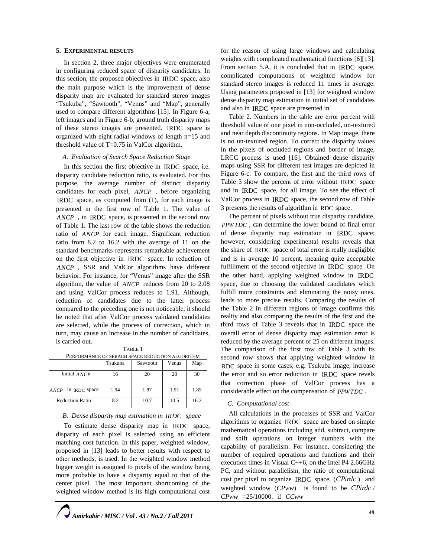## **5. EXPERIMENTAL RESULTS**

In section 2, three major objectives were enumerated in configuring reduced space of disparity candidates. In this section, the proposed objectives in IRDC space, also the main purpose which is the improvement of dense disparity map are evaluated for standard stereo images "Tsukuba", "Sawtooth", "Venus" and "Map", generally used to compare different algorithms [15]. In Figure 6-a, left images and in Figure 6-b, ground truth disparity maps of these stereo images are presented. IRDC space is organized with eight radial windows of length n=15 and threshold value of T=0.75 in ValCor algorithm.

### *A. Evaluation of Search Space Reduction Stage*

In this section the first objective in IRDC space, i.e. disparity candidate reduction ratio, is evaluated. For this purpose, the average number of distinct disparity candidates for each pixel, *ANCP* , before organizing IRDC space, as computed from (1), for each image is presented in the first row of Table 1. The value of *ANCP* , in IRDC space, is presented in the second row of Table 1. The last row of the table shows the reduction ratio of *ANCP* for each image. Significant reduction ratio from 8.2 to 16.2 with the average of 11 on the standard benchmarks represents remarkable achievement on the first objective in IRDC space. In reduction of *ANCP* , SSR and ValCor algorithms have different behavior. For instance, for "Venus" image after the SSR algorithm, the value of *ANCP* reduces from 20 to 2.08 and using ValCor process reduces to 1.91. Although, reduction of candidates due to the latter process compared to the preceding one is not noticeable, it should be noted that after ValCor process validated candidates are selected, while the process of correction, which in turn, may cause an increase in the number of candidates, is carried out.

TABLE 1 PERFORMANCE OF SERACH SPACE REDUCTION ALGORITHM

|                                     | Tsukuba | Sawtooth | Venus | Map  |
|-------------------------------------|---------|----------|-------|------|
| Initial ANCP                        | 16      | 20       | 20    | 30   |
| in IRDC space<br>$\bf\textit{ANCP}$ | 1.94    | 1.87     | 1.91  | 1.85 |
| <b>Reduction Ratio</b>              | 8.2     | 10.7     | 10.5  | 16.2 |

## *B. Dense disparity map estimation in IRDC space*

To estimate dense disparity map in IRDC space, disparity of each pixel is selected using an efficient matching cost function. In this paper, weighted window, proposed in [13] leads to better results with respect to other methods, is used. In the weighted window method bigger weight is assigned to pixels of the window being more probable to have a disparity equal to that of the center pixel. The most important shortcoming of the weighted window method is its high computational cost

for the reason of using large windows and calculating weights with complicated mathematical functions [6][13]. From section 5.A, it is concluded that in IRDC space, complicated computations of weighted window for standard stereo images is reduced 11 times in average. Using parameters proposed in [13] for weighted window dense disparity map estimation in initial set of candidates and also in IRDC space are presented in

Table 2. Numbers in the table are error percent with threshold value of one pixel in non-occluded, un-textured and near depth discontinuity regions. In Map image, there is no un-textured region. To correct the disparity values in the pixels of occluded regions and border of image, LRCC process is used [16]. Obtained dense disparity maps using SSR for different test images are depicted in Figure 6-c. To compare, the first and the third rows of Table 3 show the percent of error without IRDC space and in IRDC space, for all image. To see the effect of ValCor process in IRDC space, the second row of Table 3 presents the results of algorithm in RDC space.

The percent of pixels without true disparity candidate, *PPWTDC* , can determine the lower bound of final error of dense disparity map estimation in IRDC space; however, considering experimental results reveals that the share of IRDC space of total error is really negligible and is in average 10 percent, meaning quite acceptable fulfillment of the second objective in IRDC space. On the other hand, applying weighted window in IRDC space, due to choosing the validated candidates which fulfill more constraints and eliminating the noisy ones, leads to more precise results. Comparing the results of the Table 2 in different regions of image confirms this reality and also comparing the results of the first and the third rows of Table 3 reveals that in IRDC space the overall error of dense disparity map estimation error is reduced by the average percent of 25 on different images. The comparison of the first row of Table 3 with its second row shows that applying weighted window in RDC space in some cases; e.g. Tsukuba image, increase the error and so error reduction in IRDC space revels that correction phase of ValCor process has a considerable effect on the compensation of *PPWTDC* .

## *C. Computational cost*

All calculations in the processes of SSR and ValCor algorithms to organize IRDC space are based on simple mathematical operations including add, subtract, compare and shift operations on integer numbers with the capability of parallelism. For instance, considering the number of required operations and functions and their execution times in Visual C++6, on the Intel P4 2.66GHz PC, and without parallelism, the ratio of computational cost per pixel to organize IRDC space, (*CPirdc* ) and weighted window (*CPww*) is found to be *CPirdc* / *CPww* =25/10000. if *CCww*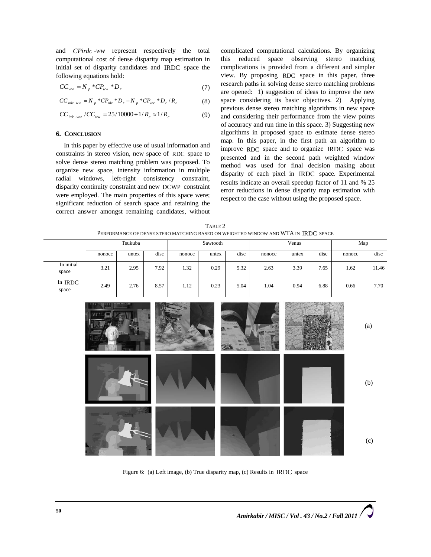and *CPirdc -ww* represent respectively the total computational cost of dense disparity map estimation in initial set of disparity candidates and IRDC space the following equations hold:

$$
CC_{ww} = N_p * CP_{ww} * D_r
$$
 (7)

$$
CC_{\text{indc-ww}} = N_p * CP_{\text{ndc}} * D_r + N_p * CP_{\text{ww}} * D_r / R_c \tag{8}
$$

$$
CC_{\text{index} \to \text{vw}} / CC_{\text{ww}} = 25/10000 + 1/R_c \approx 1/R_c \tag{9}
$$

## **6. CONCLUSION**

In this paper by effective use of usual information and constraints in stereo vision, new space of RDC space to solve dense stereo matching problem was proposed. To organize new space, intensity information in multiple radial windows, left-right consistency constraint, disparity continuity constraint and new DCWP constraint were employed. The main properties of this space were; significant reduction of search space and retaining the correct answer amongst remaining candidates, without complicated computational calculations. By organizing this reduced space observing stereo matching complications is provided from a different and simpler view. By proposing RDC space in this paper, three research paths in solving dense stereo matching problems are opened: 1) suggestion of ideas to improve the new space considering its basic objectives. 2) Applying previous dense stereo matching algorithms in new space and considering their performance from the view points of accuracy and run time in this space. 3) Suggesting new algorithms in proposed space to estimate dense stereo map. In this paper, in the first path an algorithm to improve RDC space and to organize IRDC space was presented and in the second path weighted window method was used for final decision making about disparity of each pixel in IRDC space. Experimental results indicate an overall speedup factor of 11 and % 25 error reductions in dense disparity map estimation with respect to the case without using the proposed space.

TABLE 2 PERFORMANCE OF DENSE STERO MATCHING BASED ON WEIGHTED WINDOW AND WTA IN IRDC SPACE

|                     | Tsukuba |       | Sawtooth |        | Venus |      | Map    |       |      |        |       |
|---------------------|---------|-------|----------|--------|-------|------|--------|-------|------|--------|-------|
|                     | nonocc  | untex | disc     | nonocc | untex | disc | nonocc | untex | disc | nonocc | disc  |
| In initial<br>space | 3.21    | 2.95  | 7.92     | 1.32   | 0.29  | 5.32 | 2.63   | 3.39  | 7.65 | 1.62   | 11.46 |
| In IRDC<br>space    | 2.49    | 2.76  | 8.57     | 1.12   | 0.23  | 5.04 | 1.04   | 0.94  | 6.88 | 0.66   | 7.70  |



Figure 6: (a) Left image, (b) True disparity map, (c) Results in IRDC space